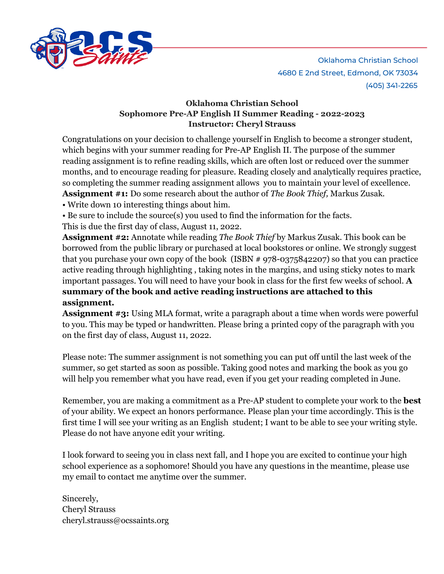

## **Oklahoma Christian School Sophomore Pre-AP English II Summer Reading - 2022-2023 Instructor: Cheryl Strauss**

Congratulations on your decision to challenge yourself in English to become a stronger student, which begins with your summer reading for Pre-AP English II. The purpose of the summer reading assignment is to refine reading skills, which are often lost or reduced over the summer months, and to encourage reading for pleasure. Reading closely and analytically requires practice, so completing the summer reading assignment allows you to maintain your level of excellence. **Assignment #1:** Do some research about the author of *The Book Thief,* Markus Zusak. • Write down 10 interesting things about him.

• Be sure to include the source(s) you used to find the information for the facts.

This is due the first day of class, August 11, 2022.

**Assignment #2:** Annotate while reading *The Book Thief* by Markus Zusak. This book can be borrowed from the public library or purchased at local bookstores or online. We strongly suggest that you purchase your own copy of the book (ISBN # 978-0375842207) so that you can practice active reading through highlighting , taking notes in the margins, and using sticky notes to mark important passages. You will need to have your book in class for the first few weeks of school. **A summary of the book and active reading instructions are attached to this assignment.**

**Assignment #3:** Using MLA format, write a paragraph about a time when words were powerful to you. This may be typed or handwritten. Please bring a printed copy of the paragraph with you on the first day of class, August 11, 2022.

Please note: The summer assignment is not something you can put off until the last week of the summer, so get started as soon as possible. Taking good notes and marking the book as you go will help you remember what you have read, even if you get your reading completed in June.

Remember, you are making a commitment as a Pre-AP student to complete your work to the **best** of your ability. We expect an honors performance. Please plan your time accordingly. This is the first time I will see your writing as an English student; I want to be able to see your writing style. Please do not have anyone edit your writing.

I look forward to seeing you in class next fall, and I hope you are excited to continue your high school experience as a sophomore! Should you have any questions in the meantime, please use my email to contact me anytime over the summer.

Sincerely, Cheryl Strauss cheryl.strauss@ocssaints.org